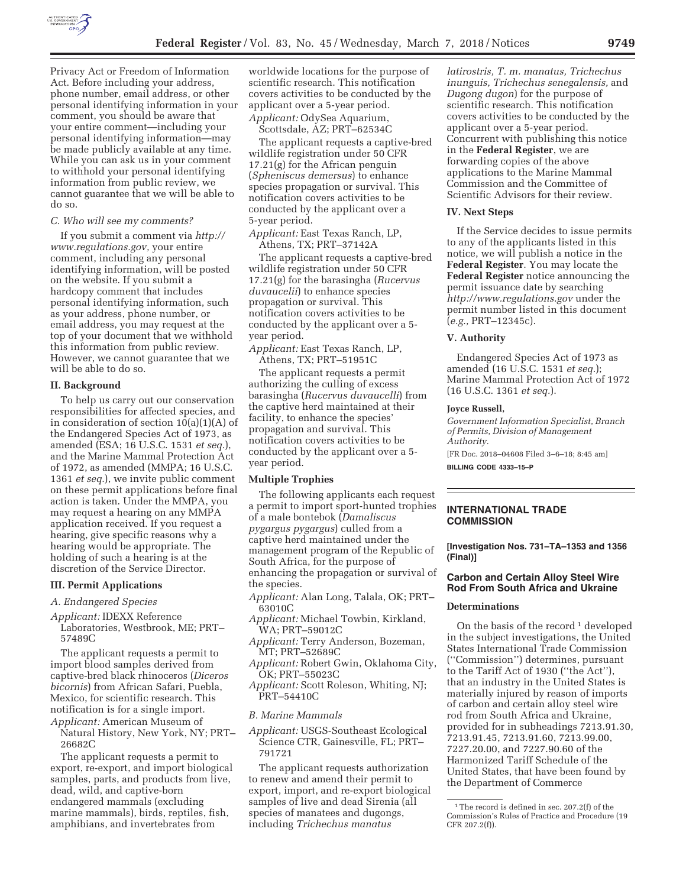

Privacy Act or Freedom of Information Act. Before including your address, phone number, email address, or other personal identifying information in your comment, you should be aware that your entire comment—including your personal identifying information—may be made publicly available at any time. While you can ask us in your comment to withhold your personal identifying information from public review, we cannot guarantee that we will be able to do so.

#### *C. Who will see my comments?*

If you submit a comment via *http:// www.regulations.gov,* your entire comment, including any personal identifying information, will be posted on the website. If you submit a hardcopy comment that includes personal identifying information, such as your address, phone number, or email address, you may request at the top of your document that we withhold this information from public review. However, we cannot guarantee that we will be able to do so.

### **II. Background**

To help us carry out our conservation responsibilities for affected species, and in consideration of section 10(a)(1)(A) of the Endangered Species Act of 1973, as amended (ESA; 16 U.S.C. 1531 *et seq.*), and the Marine Mammal Protection Act of 1972, as amended (MMPA; 16 U.S.C. 1361 *et seq.*), we invite public comment on these permit applications before final action is taken. Under the MMPA, you may request a hearing on any MMPA application received. If you request a hearing, give specific reasons why a hearing would be appropriate. The holding of such a hearing is at the discretion of the Service Director.

#### **III. Permit Applications**

#### *A. Endangered Species*

*Applicant:* IDEXX Reference Laboratories, Westbrook, ME; PRT– 57489C

The applicant requests a permit to import blood samples derived from captive-bred black rhinoceros (*Diceros bicornis*) from African Safari, Puebla, Mexico, for scientific research. This notification is for a single import. *Applicant:* American Museum of

Natural History, New York, NY; PRT– 26682C

The applicant requests a permit to export, re-export, and import biological samples, parts, and products from live, dead, wild, and captive-born endangered mammals (excluding marine mammals), birds, reptiles, fish, amphibians, and invertebrates from

worldwide locations for the purpose of scientific research. This notification covers activities to be conducted by the applicant over a 5-year period. *Applicant:* OdySea Aquarium,

Scottsdale, AZ; PRT–62534C

The applicant requests a captive-bred wildlife registration under 50 CFR 17.21(g) for the African penguin (*Spheniscus demersus*) to enhance species propagation or survival. This notification covers activities to be conducted by the applicant over a 5-year period.

*Applicant:* East Texas Ranch, LP, Athens, TX; PRT–37142A

The applicant requests a captive-bred wildlife registration under 50 CFR 17.21(g) for the barasingha (*Rucervus duvaucelii*) to enhance species propagation or survival. This notification covers activities to be conducted by the applicant over a 5 year period.

*Applicant:* East Texas Ranch, LP, Athens, TX; PRT–51951C

The applicant requests a permit authorizing the culling of excess barasingha (*Rucervus duvaucelli*) from the captive herd maintained at their facility, to enhance the species' propagation and survival. This notification covers activities to be conducted by the applicant over a 5 year period.

## **Multiple Trophies**

The following applicants each request a permit to import sport-hunted trophies of a male bontebok (*Damaliscus pygargus pygargus*) culled from a captive herd maintained under the management program of the Republic of South Africa, for the purpose of enhancing the propagation or survival of the species.

- *Applicant:* Alan Long, Talala, OK; PRT– 63010C
- *Applicant:* Michael Towbin, Kirkland, WA; PRT–59012C
- *Applicant:* Terry Anderson, Bozeman, MT; PRT–52689C
- *Applicant:* Robert Gwin, Oklahoma City, OK; PRT–55023C
- *Applicant:* Scott Roleson, Whiting, NJ; PRT–54410C

#### *B. Marine Mammals*

*Applicant:* USGS-Southeast Ecological Science CTR, Gainesville, FL; PRT– 791721

The applicant requests authorization to renew and amend their permit to export, import, and re-export biological samples of live and dead Sirenia (all species of manatees and dugongs, including *Trichechus manatus* 

*latirostris, T. m. manatus, Trichechus inunguis, Trichechus senegalensis,* and *Dugong dugon*) for the purpose of scientific research. This notification covers activities to be conducted by the applicant over a 5-year period. Concurrent with publishing this notice in the **Federal Register**, we are forwarding copies of the above applications to the Marine Mammal Commission and the Committee of Scientific Advisors for their review.

#### **IV. Next Steps**

If the Service decides to issue permits to any of the applicants listed in this notice, we will publish a notice in the **Federal Register**. You may locate the **Federal Register** notice announcing the permit issuance date by searching *http://www.regulations.gov* under the permit number listed in this document (*e.g.,* PRT–12345c).

#### **V. Authority**

Endangered Species Act of 1973 as amended (16 U.S.C. 1531 *et seq.*); Marine Mammal Protection Act of 1972 (16 U.S.C. 1361 *et seq.*).

#### **Joyce Russell,**

*Government Information Specialist, Branch of Permits, Division of Management Authority.* 

[FR Doc. 2018–04608 Filed 3–6–18; 8:45 am] **BILLING CODE 4333–15–P** 

# **INTERNATIONAL TRADE COMMISSION**

**[Investigation Nos. 731–TA–1353 and 1356 (Final)]** 

# **Carbon and Certain Alloy Steel Wire Rod From South Africa and Ukraine**

## **Determinations**

On the basis of the record<sup>1</sup> developed in the subject investigations, the United States International Trade Commission (''Commission'') determines, pursuant to the Tariff Act of 1930 (''the Act''), that an industry in the United States is materially injured by reason of imports of carbon and certain alloy steel wire rod from South Africa and Ukraine, provided for in subheadings 7213.91.30, 7213.91.45, 7213.91.60, 7213.99.00, 7227.20.00, and 7227.90.60 of the Harmonized Tariff Schedule of the United States, that have been found by the Department of Commerce

<sup>&</sup>lt;sup>1</sup>The record is defined in sec. 207.2(f) of the Commission's Rules of Practice and Procedure (19 CFR 207.2(f)).